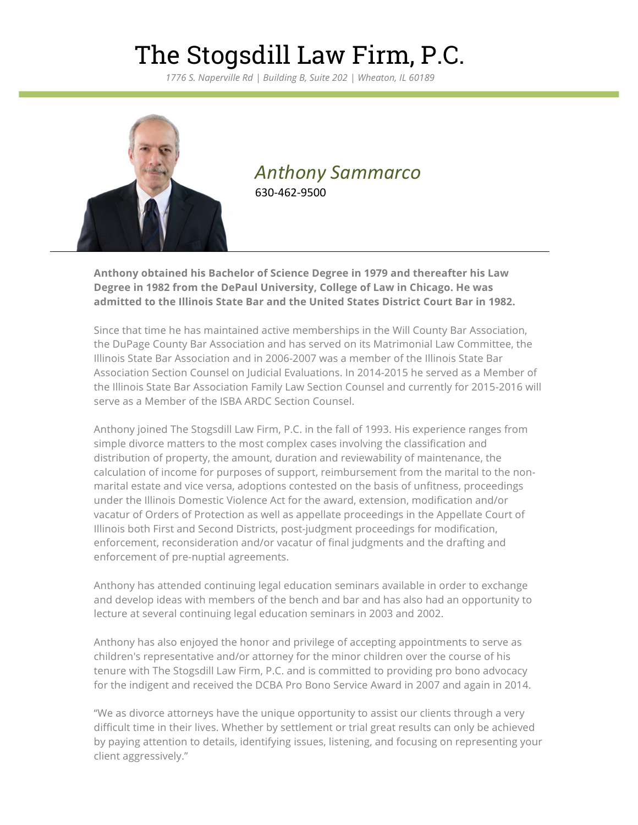## The Stogsdill Law Firm, P.C.

*1776 S. Naperville Rd | Building B, Suite 202 | Wheaton, IL 60189*



### *Anthony Sammarco* 630-462-9500

**Anthony obtained his Bachelor of Science Degree in 1979 and thereafter his Law Degree in 1982 from the DePaul University, College of Law in Chicago. He was admitted to the Illinois State Bar and the United States District Court Bar in 1982.**

Since that time he has maintained active memberships in the Will County Bar Association, the DuPage County Bar Association and has served on its Matrimonial Law Committee, the Illinois State Bar Association and in 2006-2007 was a member of the Illinois State Bar Association Section Counsel on Judicial Evaluations. In 2014-2015 he served as a Member of the Illinois State Bar Association Family Law Section Counsel and currently for 2015-2016 will serve as a Member of the ISBA ARDC Section Counsel.

Anthony joined The Stogsdill Law Firm, P.C. in the fall of 1993. His experience ranges from simple divorce matters to the most complex cases involving the classification and distribution of property, the amount, duration and reviewability of maintenance, the calculation of income for purposes of support, reimbursement from the marital to the nonmarital estate and vice versa, adoptions contested on the basis of unfitness, proceedings under the Illinois Domestic Violence Act for the award, extension, modification and/or vacatur of Orders of Protection as well as appellate proceedings in the Appellate Court of Illinois both First and Second Districts, post-judgment proceedings for modification, enforcement, reconsideration and/or vacatur of final judgments and the drafting and enforcement of pre-nuptial agreements.

Anthony has attended continuing legal education seminars available in order to exchange and develop ideas with members of the bench and bar and has also had an opportunity to lecture at several continuing legal education seminars in 2003 and 2002.

Anthony has also enjoyed the honor and privilege of accepting appointments to serve as children's representative and/or attorney for the minor children over the course of his tenure with The Stogsdill Law Firm, P.C. and is committed to providing pro bono advocacy for the indigent and received the DCBA Pro Bono Service Award in 2007 and again in 2014.

"We as divorce attorneys have the unique opportunity to assist our clients through a very difficult time in their lives. Whether by settlement or trial great results can only be achieved by paying attention to details, identifying issues, listening, and focusing on representing your client aggressively."